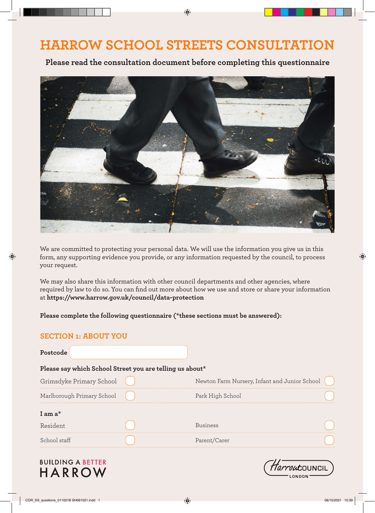# **HARROW SCHOOL STREETS CONSULTATION**

◈

**Please read the consultation document before completing this questionnaire**



We are committed to protecting your personal data. We will use the information you give us in this form, any supporting evidence you provide, or any information requested by the council, to process your request.

We may also share this information with other council departments and other agencies, where required by law to do so. You can find out more about how we use and store or share your information at **https://www.harrow.gov.uk/council/data-protection**

**Please complete the following questionnaire (\*these sections must be answered):**

# **SECTION 1: ABOUT YOU**

⊕

| Postcode                                                 |                                               |  |
|----------------------------------------------------------|-----------------------------------------------|--|
| Please say which School Street you are telling us about* |                                               |  |
| Grimsdyke Primary School                                 | Newton Farm Nursery, Infant and Junior School |  |
| Marlborough Primary School                               | Park High School                              |  |
| I am $a^*$                                               |                                               |  |
| Resident                                                 | <b>Business</b>                               |  |
| School staff                                             | Parent/Carer                                  |  |

# **BUILDING A BETTER HARROW**



◈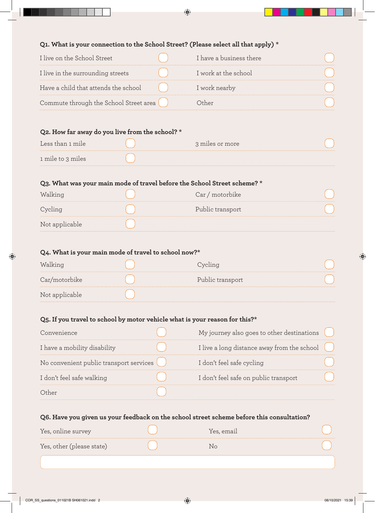$\bigodot$ 

### **Q1. What is your connection to the School Street? (Please select all that apply) \***

| I live on the School Street            | I have a business there |  |
|----------------------------------------|-------------------------|--|
| I live in the surrounding streets      | I work at the school    |  |
| Have a child that attends the school   | I work nearby           |  |
| Commute through the School Street area |                         |  |

# **Q2. How far away do you live from the school? \***

| Less than 1 mile  | 3 miles or more |  |
|-------------------|-----------------|--|
| 1 mile to 3 miles |                 |  |

# **Q3. What was your main mode of travel before the School Street scheme? \***

| Walking        | motorbike<br>:ar |  |
|----------------|------------------|--|
|                | Public transport |  |
| Not applicable |                  |  |

# **Q4. What is your main mode of travel to school now?\***

| Walking        |                  |  |
|----------------|------------------|--|
| Car/motorbike  | Public transport |  |
| Not applicable |                  |  |

# **Q5. If you travel to school by motor vehicle what is your reason for this?\***

| Convenience                               | My journey also goes to other destinations    |  |
|-------------------------------------------|-----------------------------------------------|--|
| I have a mobility disability              | I live a long distance away from the school ( |  |
| No convenient public transport services ( | I don't feel safe cycling                     |  |
| I don't feel safe walking                 | I don't feel safe on public transport         |  |
| Other                                     |                                               |  |

# **Q6. Have you given us your feedback on the school street scheme before this consultation?**

| Yes, online survey        | Yes, email |  |
|---------------------------|------------|--|
| Yes, other (please state) |            |  |
|                           |            |  |

◈

◈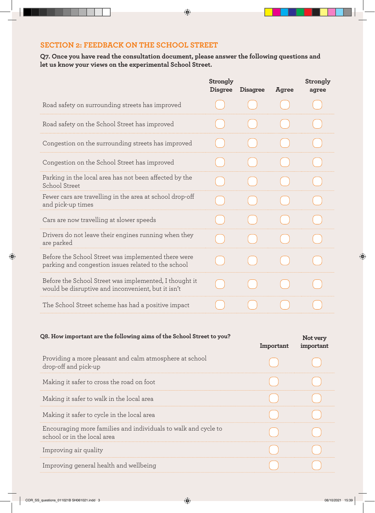# **SECTION 2: FEEDBACK ON THE SCHOOL STREET**

**Q7. Once you have read the consultation document, please answer the following questions and let us know your views on the experimental School Street.** 

|                                                                                                              | Strongly<br><b>Disgree</b> | <b>Disagree</b> | Agree | Strongly<br>agree |
|--------------------------------------------------------------------------------------------------------------|----------------------------|-----------------|-------|-------------------|
| Road safety on surrounding streets has improved                                                              |                            |                 |       |                   |
| Road safety on the School Street has improved                                                                |                            |                 |       |                   |
| Congestion on the surrounding streets has improved                                                           |                            |                 |       |                   |
| Congestion on the School Street has improved                                                                 |                            |                 |       |                   |
| Parking in the local area has not been affected by the<br>School Street                                      |                            |                 |       |                   |
| Fewer cars are travelling in the area at school drop-off<br>and pick-up times                                |                            |                 |       |                   |
| Cars are now travelling at slower speeds                                                                     |                            |                 |       |                   |
| Drivers do not leave their engines running when they<br>are parked                                           |                            |                 |       |                   |
| Before the School Street was implemented there were<br>parking and congestion issues related to the school   |                            |                 |       |                   |
| Before the School Street was implemented, I thought it<br>would be disruptive and inconvenient, but it isn't |                            |                 |       |                   |
| The School Street scheme has had a positive impact                                                           |                            |                 |       |                   |
|                                                                                                              |                            |                 |       |                   |

| Q8. How important are the following aims of the School Street to you?                         | Important | Not very<br>important |
|-----------------------------------------------------------------------------------------------|-----------|-----------------------|
| Providing a more pleasant and calm atmosphere at school<br>drop-off and pick-up               |           |                       |
| Making it safer to cross the road on foot                                                     |           |                       |
| Making it safer to walk in the local area                                                     |           |                       |
| Making it safer to cycle in the local area                                                    |           |                       |
| Encouraging more families and individuals to walk and cycle to<br>school or in the local area |           |                       |
| Improving air quality                                                                         |           |                       |
| Improving general health and wellbeing                                                        |           |                       |

◈

◈

 $\bigoplus$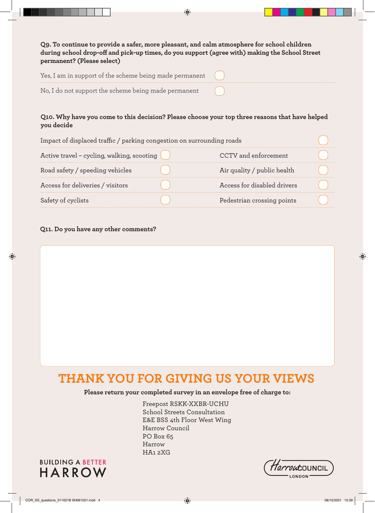| Q9. To continue to provide a safer, more pleasant, and calm atmosphere for school children<br>during school drop-off and pick-up times, do you support (agree with) making the School Street<br>permanent? (Please select) |  |
|----------------------------------------------------------------------------------------------------------------------------------------------------------------------------------------------------------------------------|--|
| Yes, I am in support of the scheme being made permanent                                                                                                                                                                    |  |
| No, I do not support the scheme being made permanent                                                                                                                                                                       |  |

◈

# **Q10. Why have you come to this decision? Please choose your top three reasons that have helped you decide**

| Impact of displaced traffic / parking congestion on surrounding roads |                             |  |
|-----------------------------------------------------------------------|-----------------------------|--|
| Active travel – cycling, walking, scooting $($                        | CCTV and enforcement        |  |
| Road safety / speeding vehicles                                       | Air quality / public health |  |
| Access for deliveries / visitors                                      | Access for disabled drivers |  |
| Safety of cyclists                                                    | Pedestrian crossing points  |  |

### **Q11. Do you have any other comments?**

◈

# **THANK YOU FOR GIVING US YOUR VIEWS**

# **Please return your completed survey in an envelope free of charge to:**

Freepost RSKK-XXBR-UCHU School Streets Consultation E&E BSS 4th Floor West Wing Harrow Council PO Box 65 Harrow HA1 2XG





◈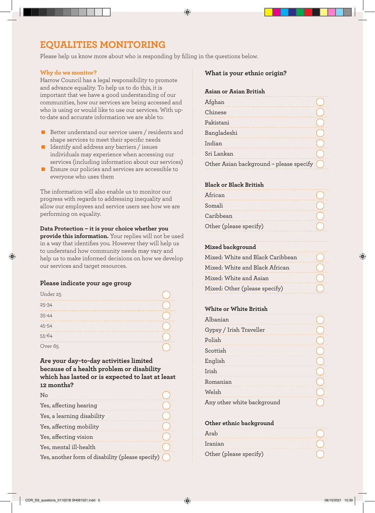# **EQUALITIES MONITORING**

Please help us know more about who is responding by filling in the questions below.

◈

#### **Why do we monitor?**

Harrow Council has a legal responsibility to promote and advance equality. To help us to do this, it is important that we have a good understanding of our communities, how our services are being accessed and who is using or would like to use our services. With upto-date and accurate information we are able to:

- Better understand our service users / residents and shape services to meet their specific needs
- I Identify and address any barriers / issues individuals may experience when accessing our services (including information about our services)
- **E** Ensure our policies and services are accessible to everyone who uses them

The information will also enable us to monitor our progress with regards to addressing inequality and allow our employees and service users see how we are performing on equality.

**Data Protection – it is your choice whether you provide this information.** Your replies will not be used in a way that identifies you. However they will help us to understand how community needs may vary and help us to make informed decisions on how we develop our services and target resources.

#### **Please indicate your age group**

| Under 25  |  |
|-----------|--|
| $25 - 34$ |  |
|           |  |
|           |  |
|           |  |
| ver 65    |  |

# **Are your day-to-day activities limited because of a health problem or disability which has lasted or is expected to last at least 12 months?**

| Yes, affecting hearing                           |  |
|--------------------------------------------------|--|
| Yes, a learning disability                       |  |
| Yes, affecting mobility                          |  |
| Yes, affecting vision                            |  |
| Yes, mental ill-health                           |  |
| Yes, another form of disability (please specify) |  |

#### **What is your ethnic origin?**

#### **Asian or Asian British**

| Afghan                                  |  |
|-----------------------------------------|--|
| Chinese                                 |  |
| Pakistani                               |  |
| Bangladeshi                             |  |
| Indian                                  |  |
| Sri Lankan                              |  |
| Other Asian background - please specify |  |

#### **Black or Black British**

| African                |  |
|------------------------|--|
| Somali                 |  |
| Caribbean              |  |
| Other (please specify) |  |

#### **Mixed background**

| Mixed: White and Black Caribbean |  |
|----------------------------------|--|
| Mixed: White and Black African   |  |
| Mixed: White and Asian           |  |
| Mixed: Other (please specify)    |  |

#### **White or White British**

| Albanian                   |  |
|----------------------------|--|
| Gypsy / Irish Traveller    |  |
| Polish                     |  |
| Scottish                   |  |
| English                    |  |
| Irish                      |  |
| Romanian                   |  |
| Welsh                      |  |
| Any other white background |  |

#### **Other ethnic background**

| Ara                    |  |
|------------------------|--|
| Iranian                |  |
| Other (please specify) |  |

⊕